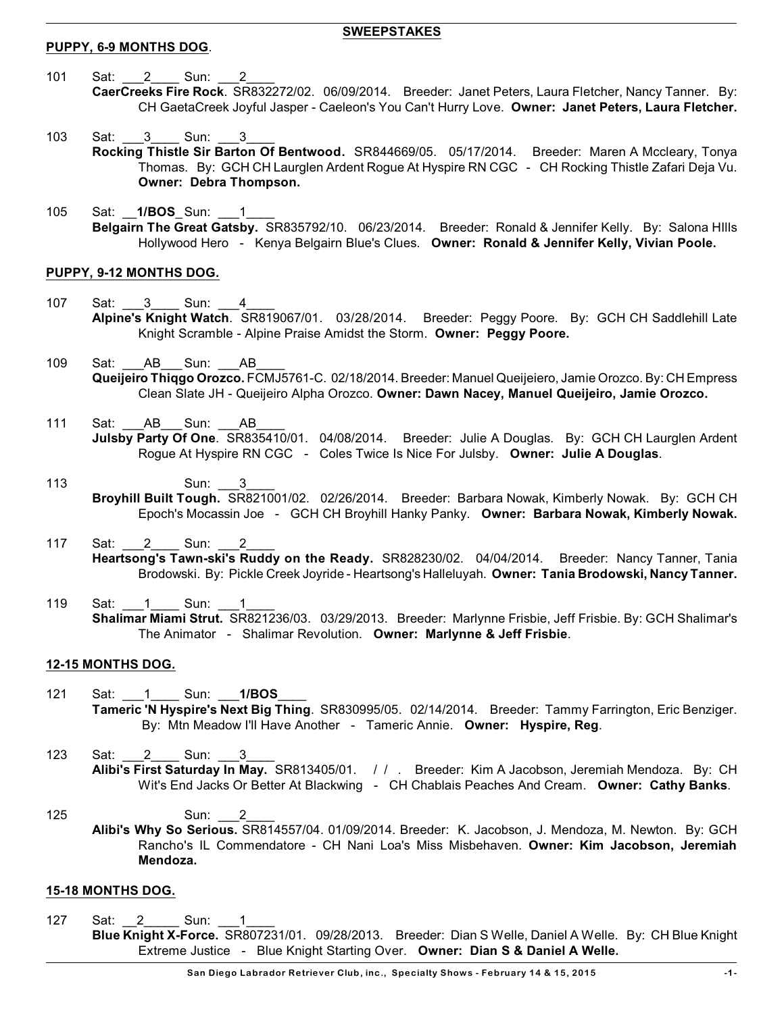#### **PUPPY, 6-9 MONTHS DOG**.

#### **SWEEPSTAKES**

- 101 Sat: 2 Sun: 2 **CaerCreeks Fire Rock**. SR832272/02. 06/09/2014. Breeder: Janet Peters, Laura Fletcher, Nancy Tanner. By: CH GaetaCreek Joyful Jasper - Caeleon's You Can't Hurry Love. **Owner: Janet Peters, Laura Fletcher.**
- 103 Sat: 3 Sun: 3 **Rocking Thistle Sir Barton Of Bentwood.** SR844669/05. 05/17/2014. Breeder: Maren A Mccleary, Tonya Thomas. By: GCH CH Laurglen Ardent Rogue At Hyspire RN CGC - CH Rocking Thistle Zafari Deja Vu. **Owner: Debra Thompson.**
- 105 Sat: \_\_**1/BOS**\_Sun: \_\_\_1\_\_\_\_ **Belgairn The Great Gatsby.** SR835792/10. 06/23/2014. Breeder: Ronald & Jennifer Kelly. By: Salona HIlls Hollywood Hero - Kenya Belgairn Blue's Clues. **Owner: Ronald & Jennifer Kelly, Vivian Poole.**

#### **PUPPY, 9-12 MONTHS DOG.**

- 107 Sat: 3 Sun: 4 **Alpine's Knight Watch**. SR819067/01. 03/28/2014. Breeder: Peggy Poore. By: GCH CH Saddlehill Late Knight Scramble - Alpine Praise Amidst the Storm. **Owner: Peggy Poore.**
- 109 Sat: AB Sun: AB **Queijeiro Thiqgo Orozco.** FCMJ5761-C. 02/18/2014. Breeder: Manuel Queijeiero, Jamie Orozco. By: CH Empress Clean Slate JH - Queijeiro Alpha Orozco. **Owner: Dawn Nacey, Manuel Queijeiro, Jamie Orozco.**
- 111 Sat: AB Sun: AB **Julsby Party Of One**. SR835410/01. 04/08/2014. Breeder: Julie A Douglas. By: GCH CH Laurglen Ardent Rogue At Hyspire RN CGC - Coles Twice Is Nice For Julsby. **Owner: Julie A Douglas**.
- 113 **Sun:** Sun: **Broyhill Built Tough.** SR821001/02. 02/26/2014. Breeder: Barbara Nowak, Kimberly Nowak. By: GCH CH Epoch's Mocassin Joe - GCH CH Broyhill Hanky Panky. **Owner: Barbara Nowak, Kimberly Nowak.**
- 117 Sat: 2 Sun: 2 **Heartsong's Tawn-ski's Ruddy on the Ready.** SR828230/02. 04/04/2014. Breeder: Nancy Tanner, Tania Brodowski. By: Pickle Creek Joyride - Heartsong's Halleluyah. **Owner: Tania Brodowski, Nancy Tanner.**
- 119 Sat: 1 Sun: 1 **Shalimar Miami Strut.** SR821236/03. 03/29/2013. Breeder: Marlynne Frisbie, Jeff Frisbie. By: GCH Shalimar's The Animator - Shalimar Revolution. **Owner: Marlynne & Jeff Frisbie**.

#### **12-15 MONTHS DOG.**

- 121 Sat: 1 Sun: **1/BOS Tameric 'N Hyspire's Next Big Thing**. SR830995/05. 02/14/2014. Breeder: Tammy Farrington, Eric Benziger. By: Mtn Meadow I'll Have Another - Tameric Annie. **Owner: Hyspire, Reg**.
- 123 Sat: 2 Sun: 3 **Alibi's First Saturday In May.** SR813405/01. / / . Breeder: Kim A Jacobson, Jeremiah Mendoza. By: CH Wit's End Jacks Or Better At Blackwing - CH Chablais Peaches And Cream. **Owner: Cathy Banks**.
- 125 Sun: 2 **Alibi's Why So Serious.** SR814557/04. 01/09/2014. Breeder: K. Jacobson, J. Mendoza, M. Newton. By: GCH Rancho's IL Commendatore - CH Nani Loa's Miss Misbehaven. **Owner: Kim Jacobson, Jeremiah Mendoza.**

#### **15-18 MONTHS DOG.**

127 Sat: 2 Sun: **Blue Knight X-Force.** SR807231/01. 09/28/2013. Breeder: Dian S Welle, Daniel A Welle. By: CH Blue Knight Extreme Justice - Blue Knight Starting Over. **Owner: Dian S & Daniel A Welle.**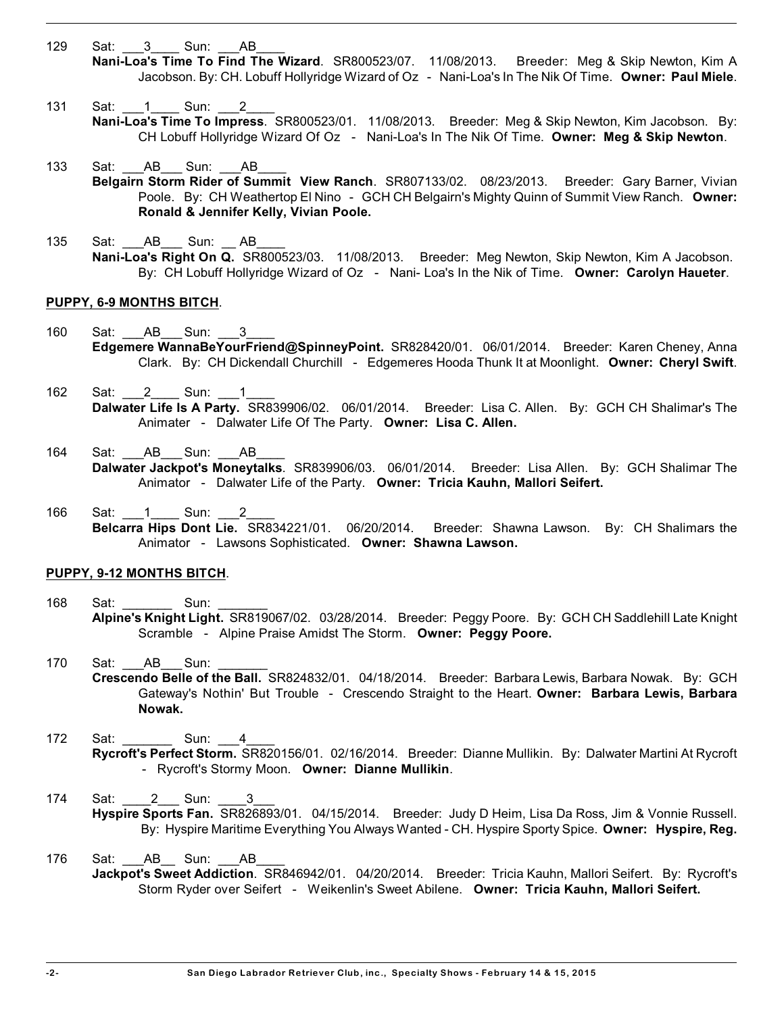- 129 Sat: 3 Sun: AB **Nani-Loa's Time To Find The Wizard**. SR800523/07. 11/08/2013. Breeder: Meg & Skip Newton, Kim A Jacobson. By: CH. Lobuff Hollyridge Wizard of Oz - Nani-Loa's In The Nik Of Time. **Owner: Paul Miele**.
- 131 Sat: 1 Sun: 2 **Nani-Loa's Time To Impress**. SR800523/01. 11/08/2013. Breeder: Meg & Skip Newton, Kim Jacobson. By: CH Lobuff Hollyridge Wizard Of Oz - Nani-Loa's In The Nik Of Time. **Owner: Meg & Skip Newton**.

### 133 Sat: AB Sun: AB

- **Belgairn Storm Rider of Summit View Ranch**. SR807133/02. 08/23/2013. Breeder: Gary Barner, Vivian Poole. By: CH Weathertop El Nino - GCH CH Belgairn's Mighty Quinn of Summit View Ranch. **Owner: Ronald & Jennifer Kelly, Vivian Poole.**
- 135 Sat: AB Sun: AB **Nani-Loa's Right On Q.** SR800523/03. 11/08/2013. Breeder: Meg Newton, Skip Newton, Kim A Jacobson. By: CH Lobuff Hollyridge Wizard of Oz - Nani- Loa's In the Nik of Time. **Owner: Carolyn Haueter**.

### **PUPPY, 6-9 MONTHS BITCH**.

- 160 Sat: AB Sun: 3 **Edgemere WannaBeYourFriend@SpinneyPoint.** SR828420/01. 06/01/2014. Breeder: Karen Cheney, Anna Clark. By: CH Dickendall Churchill - Edgemeres Hooda Thunk It at Moonlight. **Owner: Cheryl Swift**.
- 162 Sat: 2 Sun: 1 **Dalwater Life Is A Party.** SR839906/02. 06/01/2014. Breeder: Lisa C. Allen. By: GCH CH Shalimar's The Animater - Dalwater Life Of The Party. **Owner: Lisa C. Allen.**
- 164 Sat: AB Sun: AB **Dalwater Jackpot's Moneytalks**. SR839906/03. 06/01/2014. Breeder: Lisa Allen. By: GCH Shalimar The Animator - Dalwater Life of the Party. **Owner: Tricia Kauhn, Mallori Seifert.**
- 166 Sat: 1 Sun: 2 **Belcarra Hips Dont Lie.** SR834221/01. 06/20/2014. Breeder: Shawna Lawson. By: CH Shalimars the Animator - Lawsons Sophisticated. **Owner: Shawna Lawson.**

### **PUPPY, 9-12 MONTHS BITCH**.

- 168 Sat: Sun: **Alpine's Knight Light.** SR819067/02. 03/28/2014. Breeder: Peggy Poore. By: GCH CH Saddlehill Late Knight Scramble - Alpine Praise Amidst The Storm. **Owner: Peggy Poore.**
- 170 Sat: AB Sun: **Crescendo Belle of the Ball.** SR824832/01. 04/18/2014. Breeder: Barbara Lewis, Barbara Nowak. By: GCH Gateway's Nothin' But Trouble - Crescendo Straight to the Heart. **Owner: Barbara Lewis, Barbara Nowak.**
- 172 Sat: \_\_\_\_\_\_\_ Sun: \_\_\_4\_\_\_\_ **Rycroft's Perfect Storm.** SR820156/01. 02/16/2014. Breeder: Dianne Mullikin. By: Dalwater Martini At Rycroft - Rycroft's Stormy Moon. **Owner: Dianne Mullikin**.
- 174 Sat: 2 Sun: 3 **Hyspire Sports Fan.** SR826893/01. 04/15/2014. Breeder: Judy D Heim, Lisa Da Ross, Jim & Vonnie Russell. By: Hyspire Maritime Everything You Always Wanted - CH. Hyspire Sporty Spice. **Owner: Hyspire, Reg.**
- 176 Sat: \_\_\_\_AB\_\_\_\_ Sun: \_\_\_\_AB\_ **Jackpot's Sweet Addiction**. SR846942/01. 04/20/2014. Breeder: Tricia Kauhn, Mallori Seifert. By: Rycroft's Storm Ryder over Seifert - Weikenlin's Sweet Abilene. **Owner: Tricia Kauhn, Mallori Seifert.**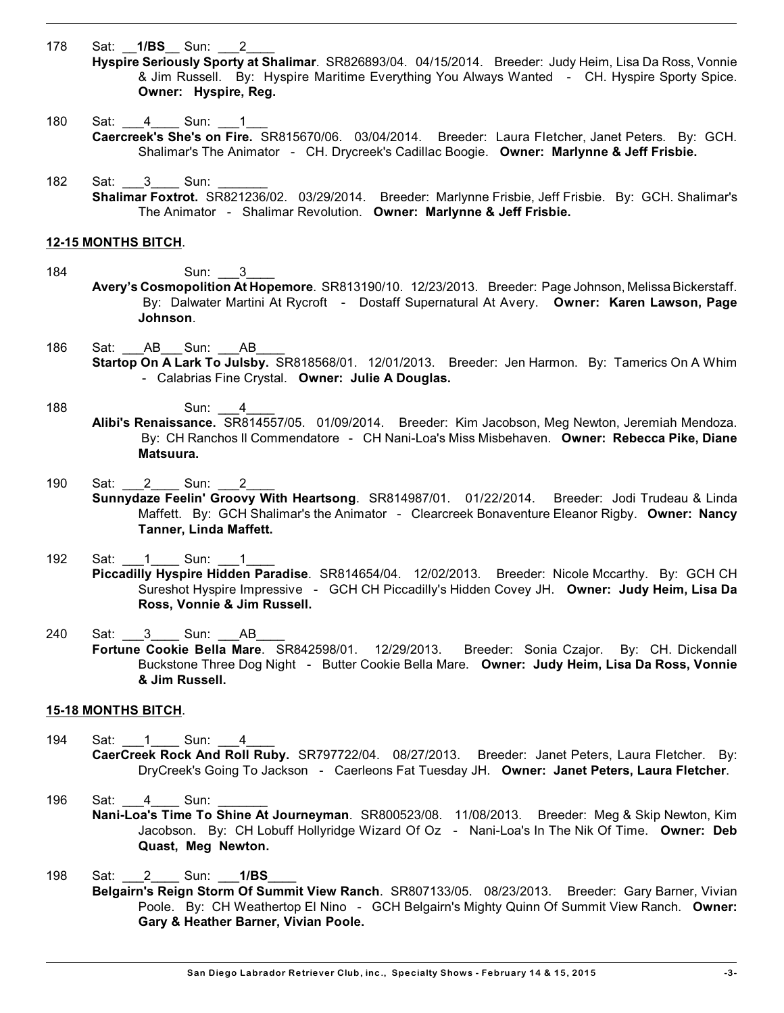178 Sat: **1/BS** Sun: 2

- **Hyspire Seriously Sporty at Shalimar**. SR826893/04. 04/15/2014. Breeder: Judy Heim, Lisa Da Ross, Vonnie & Jim Russell. By: Hyspire Maritime Everything You Always Wanted - CH. Hyspire Sporty Spice. **Owner: Hyspire, Reg.**
- 180 Sat: 4 Sun: 1 **Caercreek's She's on Fire.** SR815670/06. 03/04/2014. Breeder: Laura Fletcher, Janet Peters. By: GCH. Shalimar's The Animator - CH. Drycreek's Cadillac Boogie. **Owner: Marlynne & Jeff Frisbie.**
- 182 Sat: 3 Sun: **Shalimar Foxtrot.** SR821236/02. 03/29/2014. Breeder: Marlynne Frisbie, Jeff Frisbie. By: GCH. Shalimar's The Animator - Shalimar Revolution. **Owner: Marlynne & Jeff Frisbie.**

### **12-15 MONTHS BITCH**.

- 184 Sun: 3 **Avery's Cosmopolition At Hopemore**. SR813190/10. 12/23/2013. Breeder: Page Johnson, Melissa Bickerstaff. By: Dalwater Martini At Rycroft - Dostaff Supernatural At Avery. **Owner: Karen Lawson, Page Johnson**.
- 186 Sat: AB Sun: AB **Startop On A Lark To Julsby.** SR818568/01. 12/01/2013. Breeder: Jen Harmon. By: Tamerics On A Whim - Calabrias Fine Crystal. **Owner: Julie A Douglas.**
- 188 Sun: 4 **Alibi's Renaissance.** SR814557/05. 01/09/2014. Breeder: Kim Jacobson, Meg Newton, Jeremiah Mendoza. By: CH Ranchos Il Commendatore - CH Nani-Loa's Miss Misbehaven. **Owner: Rebecca Pike, Diane Matsuura.**
- 190 Sat: 2 Sun: 2
	- **Sunnydaze Feelin' Groovy With Heartsong**. SR814987/01. 01/22/2014. Breeder: Jodi Trudeau & Linda Maffett. By: GCH Shalimar's the Animator - Clearcreek Bonaventure Eleanor Rigby. **Owner: Nancy Tanner, Linda Maffett.**
- 192 Sat: 1 Sun: 1 **Piccadilly Hyspire Hidden Paradise**. SR814654/04. 12/02/2013. Breeder: Nicole Mccarthy. By: GCH CH Sureshot Hyspire Impressive - GCH CH Piccadilly's Hidden Covey JH. **Owner: Judy Heim, Lisa Da Ross, Vonnie & Jim Russell.**
- 240 Sat: 3 Sun: AB **Fortune Cookie Bella Mare**. SR842598/01. 12/29/2013. Breeder: Sonia Czajor. By: CH. Dickendall Buckstone Three Dog Night - Butter Cookie Bella Mare. **Owner: Judy Heim, Lisa Da Ross, Vonnie & Jim Russell.**

# **15-18 MONTHS BITCH**.

- 194 Sat: 1 Sun: 4 **CaerCreek Rock And Roll Ruby.** SR797722/04. 08/27/2013. Breeder: Janet Peters, Laura Fletcher. By: DryCreek's Going To Jackson - Caerleons Fat Tuesday JH. **Owner: Janet Peters, Laura Fletcher**.
- 196 Sat: 4 Sun: **Nani-Loa's Time To Shine At Journeyman**. SR800523/08. 11/08/2013. Breeder: Meg & Skip Newton, Kim Jacobson. By: CH Lobuff Hollyridge Wizard Of Oz - Nani-Loa's In The Nik Of Time. **Owner: Deb Quast, Meg Newton.**
- 198 Sat: \_\_\_2\_\_\_\_ Sun: \_\_\_**1/BS**\_\_\_\_ **Belgairn's Reign Storm Of Summit View Ranch**. SR807133/05. 08/23/2013. Breeder: Gary Barner, Vivian Poole. By: CH Weathertop El Nino - GCH Belgairn's Mighty Quinn Of Summit View Ranch. **Owner: Gary & Heather Barner, Vivian Poole.**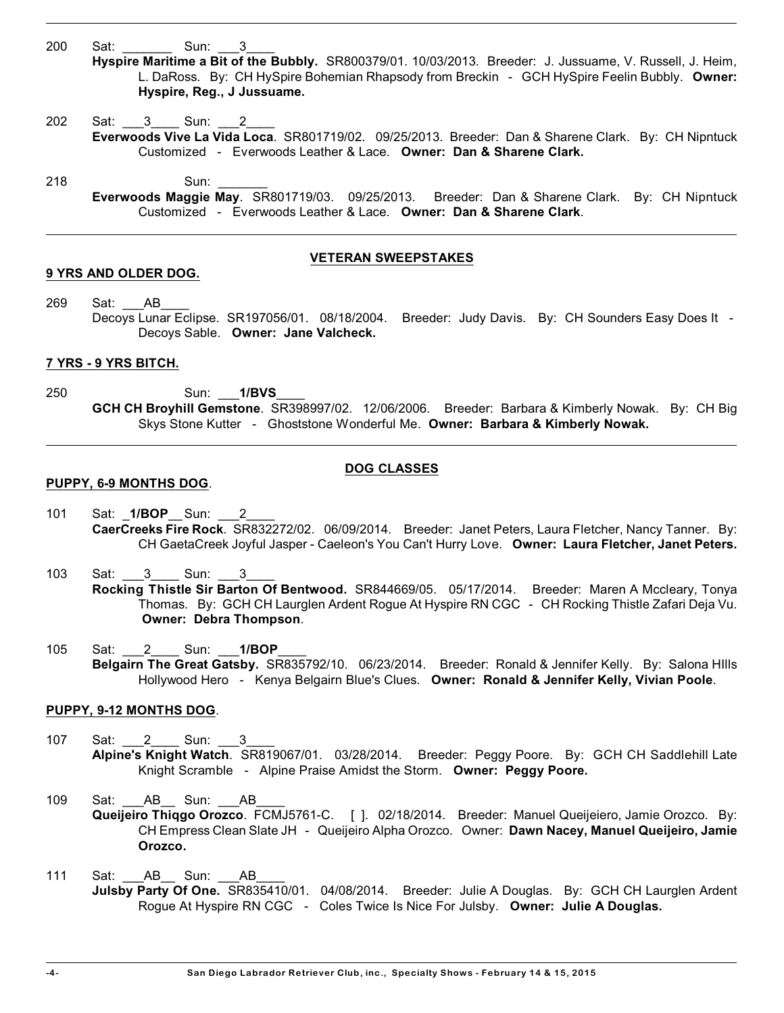- 200 Sat: Sun: 3 **Hyspire Maritime a Bit of the Bubbly.** SR800379/01. 10/03/2013. Breeder: J. Jussuame, V. Russell, J. Heim, L. DaRoss. By: CH HySpire Bohemian Rhapsody from Breckin - GCH HySpire Feelin Bubbly. **Owner: Hyspire, Reg., J Jussuame.**
- 202 Sat: 3 Sun: 2 **Everwoods Vive La Vida Loca**. SR801719/02. 09/25/2013. Breeder: Dan & Sharene Clark. By: CH Nipntuck Customized - Everwoods Leather & Lace. **Owner: Dan & Sharene Clark.**

218 **Sun: Everwoods Maggie May**. SR801719/03. 09/25/2013. Breeder: Dan & Sharene Clark. By: CH Nipntuck Customized - Everwoods Leather & Lace. **Owner: Dan & Sharene Clark**.

#### **VETERAN SWEEPSTAKES**

269 Sat: \_\_\_AB\_ Decoys Lunar Eclipse. SR197056/01. 08/18/2004. Breeder: Judy Davis. By: CH Sounders Easy Does It - Decoys Sable. **Owner: Jane Valcheck.**

#### **7 YRS - 9 YRS BITCH.**

**PUPPY, 6-9 MONTHS DOG**.

**9 YRS AND OLDER DOG.**

250 Sun: \_\_\_**1/BVS**\_\_\_\_ **GCH CH Broyhill Gemstone**. SR398997/02. 12/06/2006. Breeder: Barbara & Kimberly Nowak. By: CH Big Skys Stone Kutter - Ghoststone Wonderful Me. **Owner: Barbara & Kimberly Nowak.**

#### **DOG CLASSES**

- 101 Sat: \_**1/BOP**\_\_Sun: \_\_\_2\_\_\_\_ **CaerCreeks Fire Rock**. SR832272/02. 06/09/2014. Breeder: Janet Peters, Laura Fletcher, Nancy Tanner. By: CH GaetaCreek Joyful Jasper - Caeleon's You Can't Hurry Love. **Owner: Laura Fletcher, Janet Peters.**
- 103 Sat: 3 Sun: 3 **Rocking Thistle Sir Barton Of Bentwood.** SR844669/05. 05/17/2014. Breeder: Maren A Mccleary, Tonya Thomas. By: GCH CH Laurglen Ardent Rogue At Hyspire RN CGC - CH Rocking Thistle Zafari Deja Vu. **Owner: Debra Thompson**.
- 105 Sat: \_\_\_2\_\_\_\_ Sun: \_\_\_**1/BOP**\_\_\_\_ **Belgairn The Great Gatsby.** SR835792/10. 06/23/2014. Breeder: Ronald & Jennifer Kelly. By: Salona HIlls Hollywood Hero - Kenya Belgairn Blue's Clues. **Owner: Ronald & Jennifer Kelly, Vivian Poole**.

### **PUPPY, 9-12 MONTHS DOG**.

- 107 Sat: 2 Sun: 3 **Alpine's Knight Watch**. SR819067/01. 03/28/2014. Breeder: Peggy Poore. By: GCH CH Saddlehill Late Knight Scramble - Alpine Praise Amidst the Storm. **Owner: Peggy Poore.**
- 109 Sat: AB Sun: AB **Queijeiro Thiqgo Orozco**. FCMJ5761-C. [ ]. 02/18/2014. Breeder: Manuel Queijeiero, Jamie Orozco. By: CH Empress Clean Slate JH - Queijeiro Alpha Orozco. Owner: **Dawn Nacey, Manuel Queijeiro, Jamie Orozco.**
- 111 Sat: AB Sun: AB **Julsby Party Of One.** SR835410/01. 04/08/2014. Breeder: Julie A Douglas. By: GCH CH Laurglen Ardent Rogue At Hyspire RN CGC - Coles Twice Is Nice For Julsby. **Owner: Julie A Douglas.**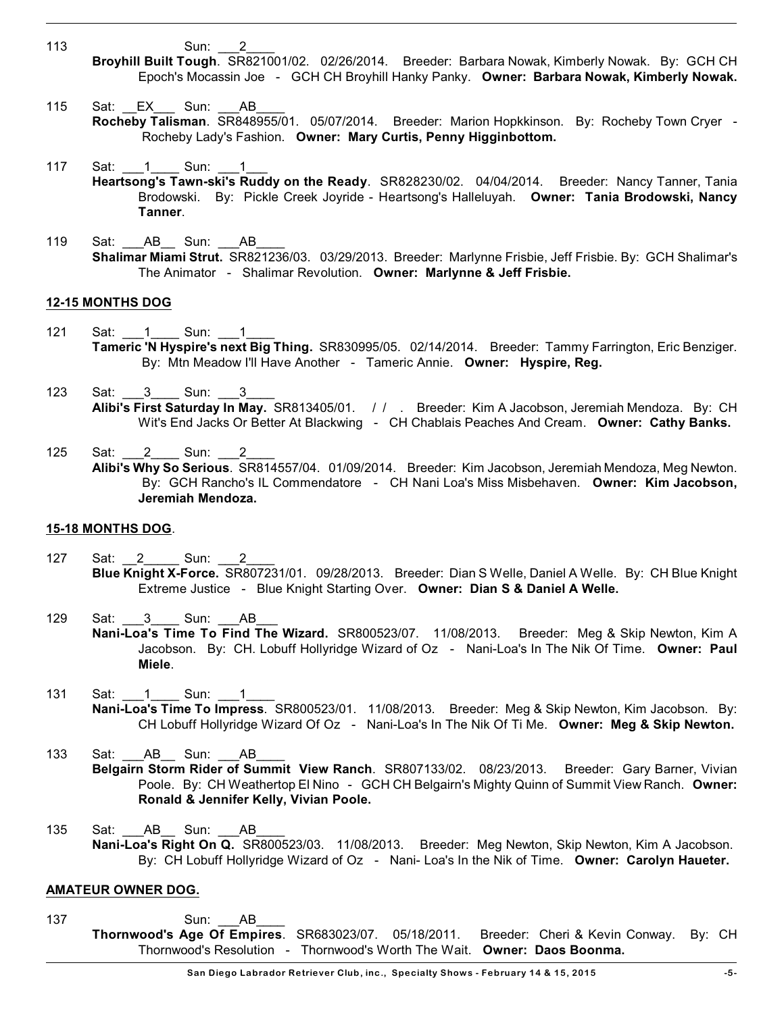113 **Sun: 2** 

- **Broyhill Built Tough**. SR821001/02. 02/26/2014. Breeder: Barbara Nowak, Kimberly Nowak. By: GCH CH Epoch's Mocassin Joe - GCH CH Broyhill Hanky Panky. **Owner: Barbara Nowak, Kimberly Nowak.**
- 115 Sat: \_\_EX\_\_\_ Sun: \_\_\_AB **Rocheby Talisman**. SR848955/01. 05/07/2014. Breeder: Marion Hopkkinson. By: Rocheby Town Cryer - Rocheby Lady's Fashion. **Owner: Mary Curtis, Penny Higginbottom.**
- 117 Sat: 1 Sun: 1 **Heartsong's Tawn-ski's Ruddy on the Ready**. SR828230/02. 04/04/2014. Breeder: Nancy Tanner, Tania Brodowski. By: Pickle Creek Joyride - Heartsong's Halleluyah. **Owner: Tania Brodowski, Nancy Tanner**.
- 119 Sat: AB Sun: AB **Shalimar Miami Strut.** SR821236/03. 03/29/2013. Breeder: Marlynne Frisbie, Jeff Frisbie. By: GCH Shalimar's The Animator - Shalimar Revolution. **Owner: Marlynne & Jeff Frisbie.**

### **12-15 MONTHS DOG**

- 121 Sat: 1 Sun: 1 **Tameric 'N Hyspire's next Big Thing.** SR830995/05. 02/14/2014. Breeder: Tammy Farrington, Eric Benziger. By: Mtn Meadow I'll Have Another - Tameric Annie. **Owner: Hyspire, Reg.**
- 123 Sat: 3 Sun: 3 **Alibi's First Saturday In May.** SR813405/01. / / . Breeder: Kim A Jacobson, Jeremiah Mendoza. By: CH Wit's End Jacks Or Better At Blackwing - CH Chablais Peaches And Cream. **Owner: Cathy Banks.**
- 125 Sat: 2 Sun: **Alibi's Why So Serious**. SR814557/04. 01/09/2014. Breeder: Kim Jacobson, Jeremiah Mendoza, Meg Newton. By: GCH Rancho's IL Commendatore - CH Nani Loa's Miss Misbehaven. **Owner: Kim Jacobson, Jeremiah Mendoza.**

#### **15-18 MONTHS DOG**.

- 127 Sat: 2 Sun: 2 **Blue Knight X-Force.** SR807231/01. 09/28/2013. Breeder: Dian S Welle, Daniel A Welle. By: CH Blue Knight Extreme Justice - Blue Knight Starting Over. **Owner: Dian S & Daniel A Welle.**
- 129 Sat: 3 Sun: AB **Nani-Loa's Time To Find The Wizard.** SR800523/07. 11/08/2013. Breeder: Meg & Skip Newton, Kim A Jacobson. By: CH. Lobuff Hollyridge Wizard of Oz - Nani-Loa's In The Nik Of Time. **Owner: Paul Miele**.
- 131 Sat: 1 Sun: 1 **Nani-Loa's Time To Impress**. SR800523/01. 11/08/2013. Breeder: Meg & Skip Newton, Kim Jacobson. By: CH Lobuff Hollyridge Wizard Of Oz - Nani-Loa's In The Nik Of Ti Me. **Owner: Meg & Skip Newton.**
- 133 Sat: AB Sun: AB **Belgairn Storm Rider of Summit View Ranch**. SR807133/02. 08/23/2013. Breeder: Gary Barner, Vivian Poole. By: CH Weathertop El Nino - GCH CH Belgairn's Mighty Quinn of Summit View Ranch. **Owner: Ronald & Jennifer Kelly, Vivian Poole.**
- 135 Sat: AB Sun: AB **Nani-Loa's Right On Q.** SR800523/03. 11/08/2013. Breeder: Meg Newton, Skip Newton, Kim A Jacobson. By: CH Lobuff Hollyridge Wizard of Oz - Nani- Loa's In the Nik of Time. **Owner: Carolyn Haueter.**

# **AMATEUR OWNER DOG.**

137 Sun: AB **Thornwood's Age Of Empires**. SR683023/07. 05/18/2011. Breeder: Cheri & Kevin Conway. By: CH Thornwood's Resolution - Thornwood's Worth The Wait. **Owner: Daos Boonma.**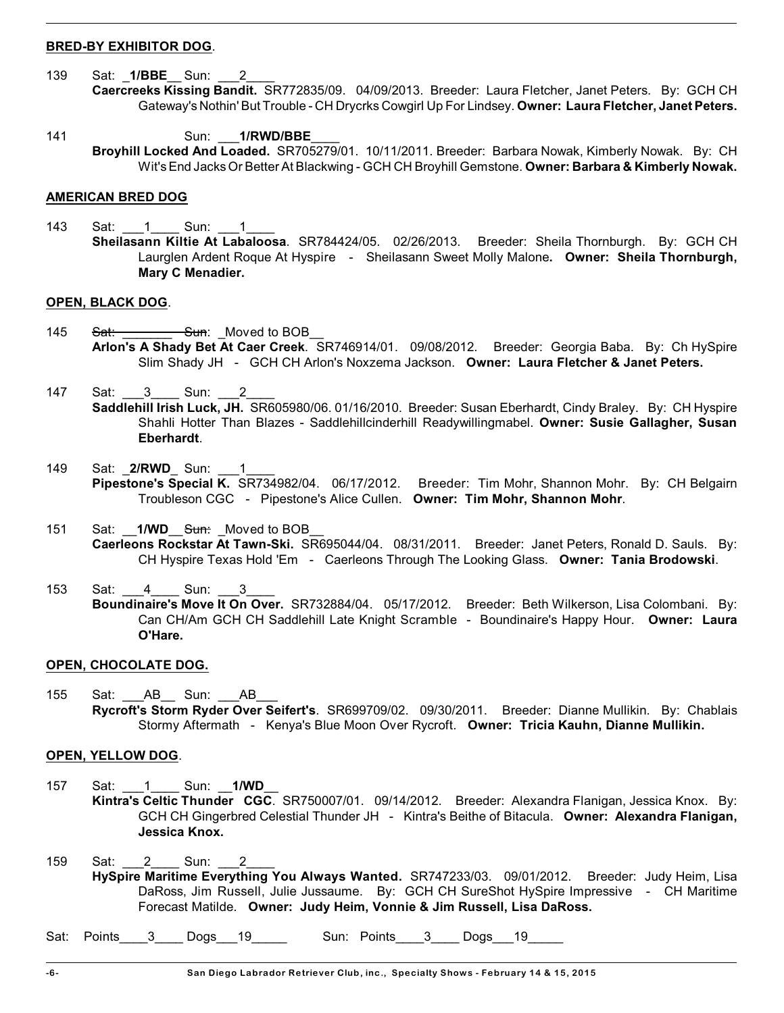### **BRED-BY EXHIBITOR DOG**.

- 139 Sat: \_**1/BBE**\_\_ Sun: \_\_\_2\_\_\_\_
	- **Caercreeks Kissing Bandit.** SR772835/09. 04/09/2013. Breeder: Laura Fletcher, Janet Peters. By: GCH CH Gateway's Nothin'But Trouble - CH Drycrks Cowgirl Up For Lindsey. **Owner: Laura Fletcher, Janet Peters.**
- 141 **Sun: 1/RWD/BBE Broyhill Locked And Loaded.** SR705279/01. 10/11/2011. Breeder: Barbara Nowak, Kimberly Nowak. By: CH Wit'sEnd JacksOr Better At Blackwing - GCH CH Broyhill Gemstone. **Owner: Barbara & Kimberly Nowak.**

# **AMERICAN BRED DOG**

143 Sat: 1 Sun: 1 **Sheilasann Kiltie At Labaloosa**. SR784424/05. 02/26/2013. Breeder: Sheila Thornburgh. By: GCH CH Laurglen Ardent Roque At Hyspire - Sheilasann Sweet Molly Malone**. Owner: Sheila Thornburgh, Mary C Menadier.**

#### **OPEN, BLACK DOG**.

- 145 Sat: Sun: \_ Moved to BOB\_ **Arlon's A Shady Bet At Caer Creek**. SR746914/01. 09/08/2012. Breeder: Georgia Baba. By: Ch HySpire Slim Shady JH - GCH CH Arlon's Noxzema Jackson. **Owner: Laura Fletcher & Janet Peters.**
- 147 Sat: 3 Sun: 2 **Saddlehill Irish Luck, JH.** SR605980/06. 01/16/2010. Breeder: Susan Eberhardt, Cindy Braley. By: CH Hyspire Shahli Hotter Than Blazes - Saddlehillcinderhill Readywillingmabel. **Owner: Susie Gallagher, Susan Eberhardt**.
- 149 Sat: 2/RWD Sun: 1 **Pipestone's Special K.** SR734982/04. 06/17/2012. Breeder: Tim Mohr, Shannon Mohr. By: CH Belgairn Troubleson CGC - Pipestone's Alice Cullen. **Owner: Tim Mohr, Shannon Mohr**.
- 151 Sat: 1/**WD** Sun: Moved to BOB **Caerleons Rockstar At Tawn-Ski.** SR695044/04. 08/31/2011. Breeder: Janet Peters, Ronald D. Sauls. By: CH Hyspire Texas Hold 'Em - Caerleons Through The Looking Glass. **Owner: Tania Brodowski**.
- 153 Sat: 4 Sun: 3 **Boundinaire's Move It On Over.** SR732884/04. 05/17/2012. Breeder: Beth Wilkerson, Lisa Colombani. By: Can CH/Am GCH CH Saddlehill Late Knight Scramble - Boundinaire's Happy Hour. **Owner: Laura O'Hare.**

#### **OPEN, CHOCOLATE DOG.**

155 Sat: AB Sun: AB **Rycroft's Storm Ryder Over Seifert's**. SR699709/02. 09/30/2011. Breeder: Dianne Mullikin. By: Chablais Stormy Aftermath - Kenya's Blue Moon Over Rycroft. **Owner: Tricia Kauhn, Dianne Mullikin.**

### **OPEN, YELLOW DOG**.

- 157 Sat: \_\_\_1\_\_\_\_ Sun: \_\_**1/WD**\_\_ **Kintra's Celtic Thunder CGC**. SR750007/01. 09/14/2012. Breeder: Alexandra Flanigan, Jessica Knox. By: GCH CH Gingerbred Celestial Thunder JH - Kintra's Beithe of Bitacula. **Owner: Alexandra Flanigan, Jessica Knox.**
- 159 Sat: 2 Sun: 2 **HySpire Maritime Everything You Always Wanted.** SR747233/03. 09/01/2012. Breeder: Judy Heim, Lisa DaRoss, Jim Russell, Julie Jussaume. By: GCH CH SureShot HySpire Impressive - CH Maritime Forecast Matilde. **Owner: Judy Heim, Vonnie & Jim Russell, Lisa DaRoss.**

Sat: Points 3 Dogs 19 Sun: Points 3 Dogs 19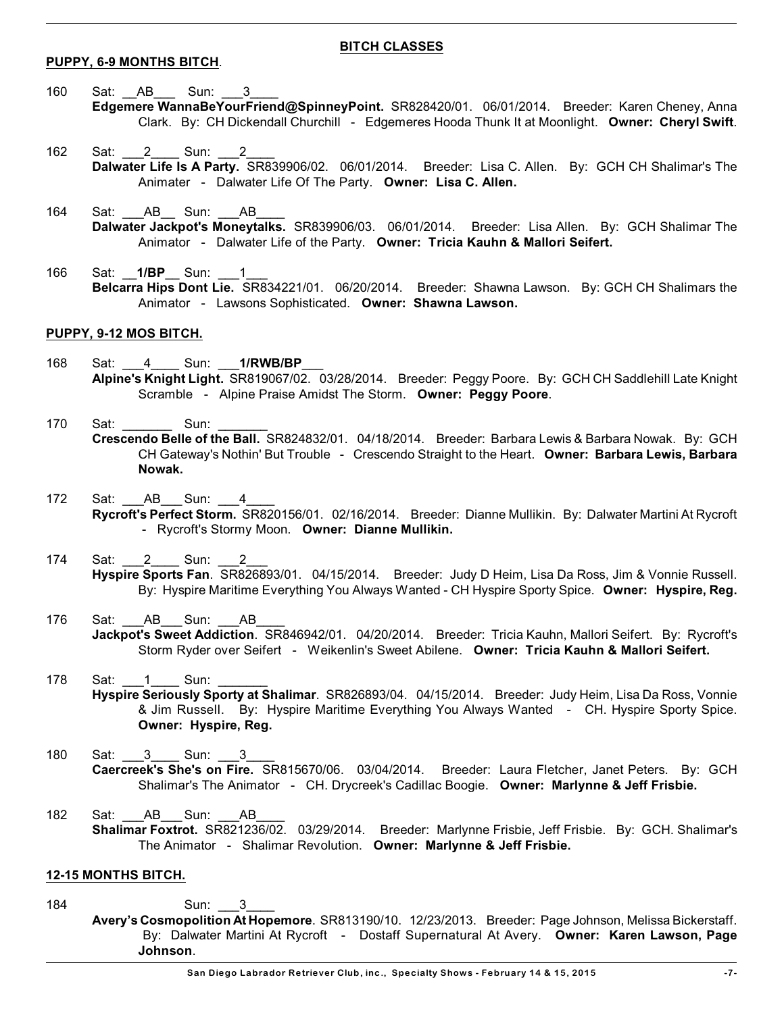#### **PUPPY, 6-9 MONTHS BITCH**.

### **BITCH CLASSES**

- 160 Sat: AB Sun: 3 **Edgemere WannaBeYourFriend@SpinneyPoint.** SR828420/01. 06/01/2014. Breeder: Karen Cheney, Anna Clark. By: CH Dickendall Churchill - Edgemeres Hooda Thunk It at Moonlight. **Owner: Cheryl Swift**.
- 162 Sat: 2 Sun: 2 **Dalwater Life Is A Party.** SR839906/02. 06/01/2014. Breeder: Lisa C. Allen. By: GCH CH Shalimar's The Animater - Dalwater Life Of The Party. **Owner: Lisa C. Allen.**
- 164 Sat: AB Sun: AB **Dalwater Jackpot's Moneytalks.** SR839906/03. 06/01/2014. Breeder: Lisa Allen. By: GCH Shalimar The Animator - Dalwater Life of the Party. **Owner: Tricia Kauhn & Mallori Seifert.**
- 166 Sat: **1/BP** Sun: 1 **Belcarra Hips Dont Lie.** SR834221/01. 06/20/2014. Breeder: Shawna Lawson. By: GCH CH Shalimars the Animator - Lawsons Sophisticated. **Owner: Shawna Lawson.**

# **PUPPY, 9-12 MOS BITCH.**

- 168 Sat: \_\_\_4\_\_\_\_ Sun: \_\_\_**1/RWB/BP**\_\_\_ **Alpine's Knight Light.** SR819067/02. 03/28/2014. Breeder: Peggy Poore. By: GCH CH Saddlehill Late Knight Scramble - Alpine Praise Amidst The Storm. **Owner: Peggy Poore**.
- 170 Sat: Sun: **Crescendo Belle of the Ball.** SR824832/01. 04/18/2014. Breeder: Barbara Lewis & Barbara Nowak. By: GCH CH Gateway's Nothin' But Trouble - Crescendo Straight to the Heart. **Owner: Barbara Lewis, Barbara Nowak.**
- 172 Sat: AB Sun: 4 **Rycroft's Perfect Storm.** SR820156/01. 02/16/2014. Breeder: Dianne Mullikin. By: Dalwater Martini At Rycroft - Rycroft's Stormy Moon. **Owner: Dianne Mullikin.**
- 174 Sat: 2 Sun: **Hyspire Sports Fan**. SR826893/01. 04/15/2014. Breeder: Judy D Heim, Lisa Da Ross, Jim & Vonnie Russell. By: Hyspire Maritime Everything You Always Wanted - CH Hyspire Sporty Spice. **Owner: Hyspire, Reg.**
- 176 Sat: AB Sun: AB **Jackpot's Sweet Addiction**. SR846942/01. 04/20/2014. Breeder: Tricia Kauhn, Mallori Seifert. By: Rycroft's Storm Ryder over Seifert - Weikenlin's Sweet Abilene. **Owner: Tricia Kauhn & Mallori Seifert.**
- 178 Sat: 1 Sun: **Hyspire Seriously Sporty at Shalimar**. SR826893/04. 04/15/2014. Breeder: Judy Heim, Lisa Da Ross, Vonnie & Jim Russell. By: Hyspire Maritime Everything You Always Wanted - CH. Hyspire Sporty Spice. **Owner: Hyspire, Reg.**
- 180 Sat: 3 Sun: 3 **Caercreek's She's on Fire.** SR815670/06. 03/04/2014. Breeder: Laura Fletcher, Janet Peters. By: GCH Shalimar's The Animator - CH. Drycreek's Cadillac Boogie. **Owner: Marlynne & Jeff Frisbie.**
- 182 Sat: AB Sun: AB **Shalimar Foxtrot.** SR821236/02. 03/29/2014. Breeder: Marlynne Frisbie, Jeff Frisbie. By: GCH. Shalimar's The Animator - Shalimar Revolution. **Owner: Marlynne & Jeff Frisbie.**

### **12-15 MONTHS BITCH.**

184 Sun: 3 **Avery's Cosmopolition At Hopemore**. SR813190/10. 12/23/2013. Breeder: Page Johnson, Melissa Bickerstaff. By: Dalwater Martini At Rycroft - Dostaff Supernatural At Avery. **Owner: Karen Lawson, Page Johnson**.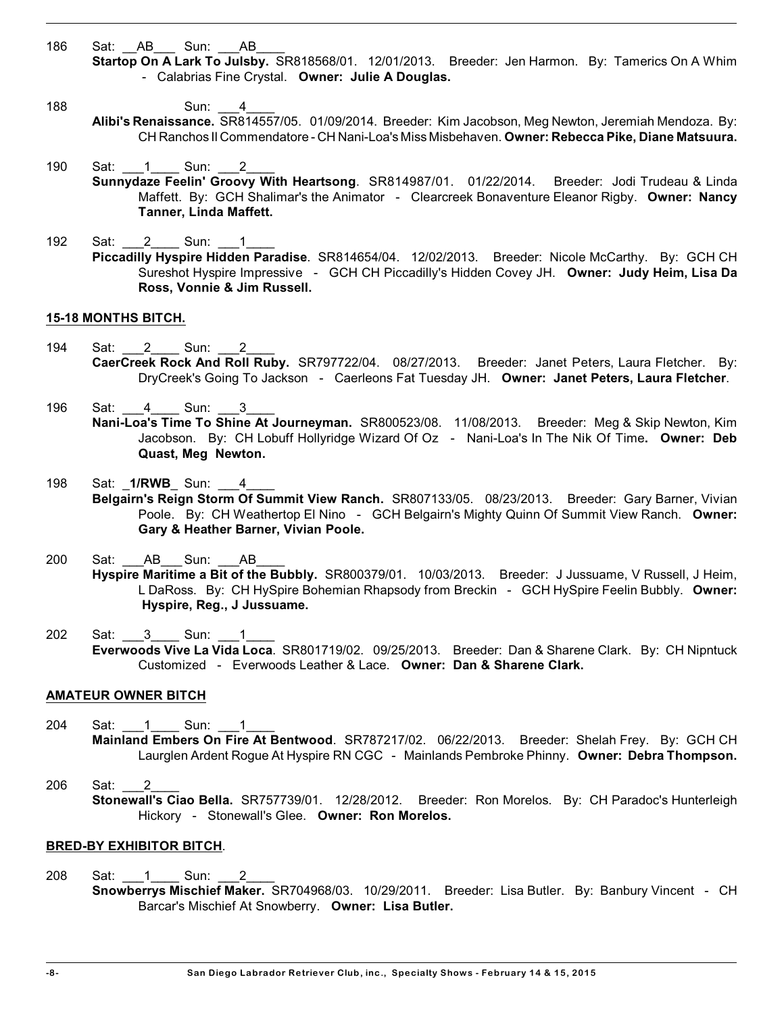- 186 Sat: AB Sun: AB
	- **Startop On A Lark To Julsby.** SR818568/01. 12/01/2013. Breeder: Jen Harmon. By: Tamerics On A Whim - Calabrias Fine Crystal. **Owner: Julie A Douglas.**
- 188 **Sun:** Sun:
	- **Alibi's Renaissance.** SR814557/05. 01/09/2014. Breeder: Kim Jacobson, Meg Newton, Jeremiah Mendoza. By: CH Ranchos Il Commendatore - CH Nani-Loa's Miss Misbehaven. **Owner: Rebecca Pike, Diane Matsuura.**
- 190 Sat: 1 Sun: 2 **Sunnydaze Feelin' Groovy With Heartsong**. SR814987/01. 01/22/2014. Breeder: Jodi Trudeau & Linda Maffett. By: GCH Shalimar's the Animator - Clearcreek Bonaventure Eleanor Rigby. **Owner: Nancy Tanner, Linda Maffett.**
- 192 Sat: 2 Sun: 1 **Piccadilly Hyspire Hidden Paradise**. SR814654/04. 12/02/2013. Breeder: Nicole McCarthy. By: GCH CH Sureshot Hyspire Impressive - GCH CH Piccadilly's Hidden Covey JH. **Owner: Judy Heim, Lisa Da Ross, Vonnie & Jim Russell.**

#### **15-18 MONTHS BITCH.**

- 194 Sat: 2 Sun: **CaerCreek Rock And Roll Ruby.** SR797722/04. 08/27/2013. Breeder: Janet Peters, Laura Fletcher. By: DryCreek's Going To Jackson - Caerleons Fat Tuesday JH. **Owner: Janet Peters, Laura Fletcher**.
- 196 Sat: 4 Sun: 3 **Nani-Loa's Time To Shine At Journeyman.** SR800523/08. 11/08/2013. Breeder: Meg & Skip Newton, Kim Jacobson. By: CH Lobuff Hollyridge Wizard Of Oz - Nani-Loa's In The Nik Of Time**. Owner: Deb Quast, Meg Newton.**
- 198 Sat: 1/RWB Sun: 4 **Belgairn's Reign Storm Of Summit View Ranch.** SR807133/05. 08/23/2013. Breeder: Gary Barner, Vivian Poole. By: CH Weathertop El Nino - GCH Belgairn's Mighty Quinn Of Summit View Ranch. **Owner: Gary & Heather Barner, Vivian Poole.**
- 200 Sat: AB Sun: AB **Hyspire Maritime a Bit of the Bubbly.** SR800379/01. 10/03/2013. Breeder: J Jussuame, V Russell, J Heim, L DaRoss. By: CH HySpire Bohemian Rhapsody from Breckin - GCH HySpire Feelin Bubbly. **Owner: Hyspire, Reg., J Jussuame.**
- 202 Sat: 3 Sun: 1 **Everwoods Vive La Vida Loca**. SR801719/02. 09/25/2013. Breeder: Dan & Sharene Clark. By: CH Nipntuck Customized - Everwoods Leather & Lace. **Owner: Dan & Sharene Clark.**

### **AMATEUR OWNER BITCH**

- 204 Sat: 1 Sun: **Mainland Embers On Fire At Bentwood**. SR787217/02. 06/22/2013. Breeder: Shelah Frey. By: GCH CH Laurglen Ardent Rogue At Hyspire RN CGC - Mainlands Pembroke Phinny. **Owner: Debra Thompson.**
- 206 Sat: 2 **Stonewall's Ciao Bella.** SR757739/01. 12/28/2012. Breeder: Ron Morelos. By: CH Paradoc's Hunterleigh Hickory - Stonewall's Glee. **Owner: Ron Morelos.**

### **BRED-BY EXHIBITOR BITCH**.

208 Sat: 1 Sun: 2 **Snowberrys Mischief Maker.** SR704968/03. 10/29/2011. Breeder: Lisa Butler. By: Banbury Vincent - CH Barcar's Mischief At Snowberry. **Owner: Lisa Butler.**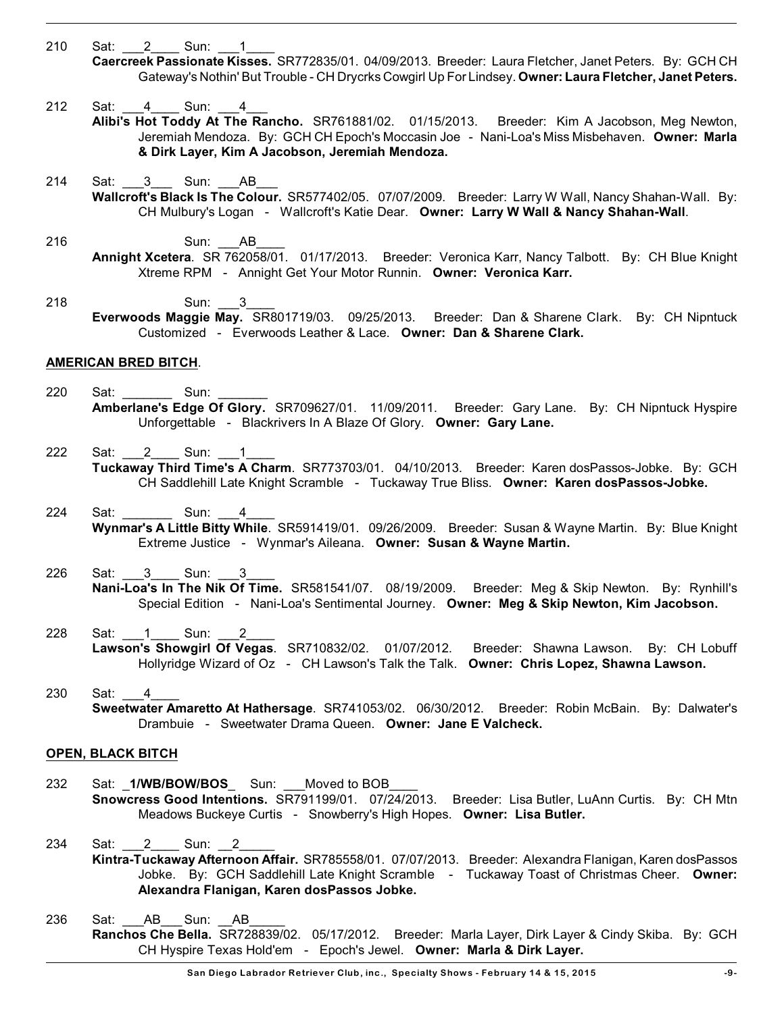- 210 Sat: 2 \_\_\_\_ Sun: 1 **Caercreek Passionate Kisses.** SR772835/01. 04/09/2013. Breeder: Laura Fletcher, Janet Peters. By: GCH CH Gateway's Nothin' But Trouble - CH Drycrks Cowgirl Up For Lindsey. **Owner: Laura Fletcher, Janet Peters.**
- 212 Sat: 4 Sun: 4 **Alibi's Hot Toddy At The Rancho.** SR761881/02. 01/15/2013. Breeder: Kim A Jacobson, Meg Newton, Jeremiah Mendoza. By: GCH CH Epoch's Moccasin Joe - Nani-Loa's Miss Misbehaven. **Owner: Marla & Dirk Layer, Kim A Jacobson, Jeremiah Mendoza.**
- 214 Sat: 3 Sun: AB **Wallcroft's Black Is The Colour.** SR577402/05. 07/07/2009. Breeder: Larry W Wall, Nancy Shahan-Wall. By: CH Mulbury's Logan - Wallcroft's Katie Dear. **Owner: Larry W Wall & Nancy Shahan-Wall**.
- 216 **Sun: AB Annight Xcetera**. SR 762058/01. 01/17/2013. Breeder: Veronica Karr, Nancy Talbott. By: CH Blue Knight Xtreme RPM - Annight Get Your Motor Runnin. **Owner: Veronica Karr.**
- 218 Sun: 3 **Everwoods Maggie May.** SR801719/03. 09/25/2013. Breeder: Dan & Sharene Clark. By: CH Nipntuck Customized - Everwoods Leather & Lace. **Owner: Dan & Sharene Clark.**

### **AMERICAN BRED BITCH**.

- 220 Sat: Sun: **Amberlane's Edge Of Glory.** SR709627/01. 11/09/2011. Breeder: Gary Lane. By: CH Nipntuck Hyspire Unforgettable - Blackrivers In A Blaze Of Glory. **Owner: Gary Lane.**
- 222 Sat: 2 Sun: 1 **Tuckaway Third Time's A Charm**. SR773703/01. 04/10/2013. Breeder: Karen dosPassos-Jobke. By: GCH CH Saddlehill Late Knight Scramble - Tuckaway True Bliss. **Owner: Karen dosPassos-Jobke.**
- 224 Sat: Sun: 4 **Wynmar's A Little Bitty While**. SR591419/01. 09/26/2009. Breeder: Susan & Wayne Martin. By: Blue Knight Extreme Justice - Wynmar's Aileana. **Owner: Susan & Wayne Martin.**
- 226 Sat: 3 Sun: 3 **Nani-Loa's In The Nik Of Time.** SR581541/07. 08/19/2009. Breeder: Meg & Skip Newton. By: Rynhill's Special Edition - Nani-Loa's Sentimental Journey. **Owner: Meg & Skip Newton, Kim Jacobson.**
- 228 Sat: 1 Sun: 2 **Lawson's Showgirl Of Vegas**. SR710832/02. 01/07/2012. Breeder: Shawna Lawson. By: CH Lobuff Hollyridge Wizard of Oz - CH Lawson's Talk the Talk. **Owner: Chris Lopez, Shawna Lawson.**
- 230 Sat: **Sweetwater Amaretto At Hathersage**. SR741053/02. 06/30/2012. Breeder: Robin McBain. By: Dalwater's Drambuie - Sweetwater Drama Queen. **Owner: Jane E Valcheck.**

#### **OPEN, BLACK BITCH**

- 232 Sat: \_**1/WB/BOW/BOS**\_ Sun: \_\_\_Moved to BOB\_\_\_\_ **Snowcress Good Intentions.** SR791199/01. 07/24/2013. Breeder: Lisa Butler, LuAnn Curtis. By: CH Mtn Meadows Buckeye Curtis - Snowberry's High Hopes. **Owner: Lisa Butler.**
- 234 Sat: 2\_\_\_\_ Sun: 2\_ **Kintra-Tuckaway Afternoon Affair.** SR785558/01. 07/07/2013. Breeder: Alexandra Flanigan, Karen dosPassos Jobke. By: GCH Saddlehill Late Knight Scramble - Tuckaway Toast of Christmas Cheer. **Owner: Alexandra Flanigan, Karen dosPassos Jobke.**
- 236 Sat: AB Sun: AB **Ranchos Che Bella.** SR728839/02. 05/17/2012. Breeder: Marla Layer, Dirk Layer & Cindy Skiba. By: GCH CH Hyspire Texas Hold'em - Epoch's Jewel. **Owner: Marla & Dirk Layer.**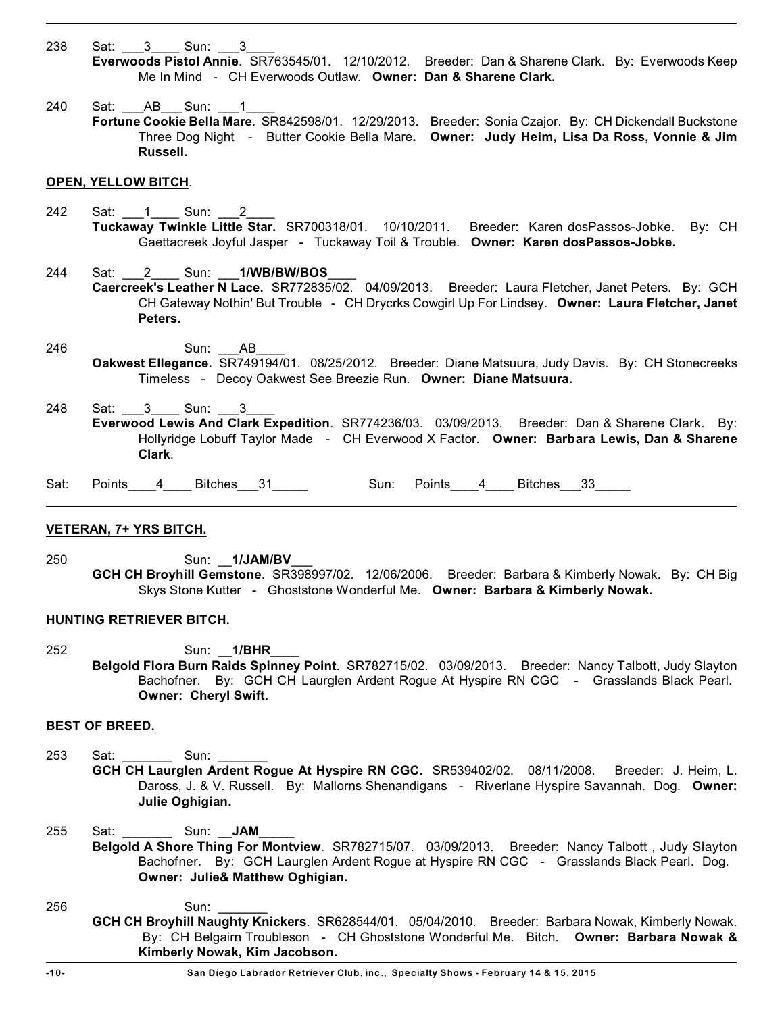238 Sat: 3 \_ Sun: 3 **Everwoods Pistol Annie**. SR763545/01. 12/10/2012. Breeder: Dan & Sharene Clark. By: Everwoods Keep Me In Mind - CH Everwoods Outlaw. **Owner: Dan & Sharene Clark.**

240 Sat: \_\_\_AB\_\_\_Sun: \_\_\_1\_ **Fortune Cookie Bella Mare**. SR842598/01. 12/29/2013. Breeder: Sonia Czajor. By: CH Dickendall Buckstone Three Dog Night - Butter Cookie Bella Mare**. Owner: Judy Heim, Lisa Da Ross, Vonnie & Jim Russell.**

#### **OPEN, YELLOW BITCH**.

- 242 Sat: 1 Sun: **Tuckaway Twinkle Little Star.** SR700318/01. 10/10/2011. Breeder: Karen dosPassos-Jobke. By: CH Gaettacreek Joyful Jasper - Tuckaway Toil & Trouble. **Owner: Karen dosPassos-Jobke.**
- 244 Sat: \_\_\_2\_\_\_\_ Sun: \_\_\_**1/WB/BW/BOS**\_\_\_\_ **Caercreek's Leather N Lace.** SR772835/02. 04/09/2013. Breeder: Laura Fletcher, Janet Peters. By: GCH CH Gateway Nothin' But Trouble - CH Drycrks Cowgirl Up For Lindsey. **Owner: Laura Fletcher, Janet Peters.**
- 246 Sun: AB **Oakwest Ellegance.** SR749194/01. 08/25/2012. Breeder: Diane Matsuura, Judy Davis. By: CH Stonecreeks Timeless - Decoy Oakwest See Breezie Run. **Owner: Diane Matsuura.**
- 248 Sat: 3 Sun: 3 **Everwood Lewis And Clark Expedition**. SR774236/03. 03/09/2013. Breeder: Dan & Sharene Clark. By: Hollyridge Lobuff Taylor Made - CH Everwood X Factor. **Owner: Barbara Lewis, Dan & Sharene Clark**.
- Sat: Points\_\_\_4 Bitches\_\_\_31\_\_\_\_\_\_\_\_\_\_\_\_\_\_\_\_\_ Sun: Points\_\_\_4 Bitches\_\_\_33\_\_\_\_\_\_

#### **VETERAN, 7+ YRS BITCH.**

250 Sun: \_\_**1/JAM/BV**\_\_\_ **GCH CH Broyhill Gemstone**. SR398997/02. 12/06/2006. Breeder: Barbara & Kimberly Nowak. By: CH Big Skys Stone Kutter - Ghoststone Wonderful Me. **Owner: Barbara & Kimberly Nowak.**

### **HUNTING RETRIEVER BITCH.**

252 Sun: **1/BHR Belgold Flora Burn Raids Spinney Point**. SR782715/02. 03/09/2013. Breeder: Nancy Talbott, Judy Slayton Bachofner. By: GCH CH Laurglen Ardent Rogue At Hyspire RN CGC - Grasslands Black Pearl. **Owner: Cheryl Swift.**

#### **BEST OF BREED.**

- 253 Sat: Sun: **GCH CH Laurglen Ardent Rogue At Hyspire RN CGC.** SR539402/02. 08/11/2008. Breeder: J. Heim, L. Daross, J. & V. Russell. By: Mallorns Shenandigans - Riverlane Hyspire Savannah. Dog. **Owner: Julie Oghigian.**
- 255 Sat: \_\_\_\_\_\_\_ Sun: \_\_**JAM**\_\_\_\_\_ **Belgold A Shore Thing For Montview**. SR782715/07. 03/09/2013. Breeder: Nancy Talbott , Judy Slayton Bachofner. By: GCH Laurglen Ardent Rogue at Hyspire RN CGC - Grasslands Black Pearl. Dog. **Owner: Julie& Matthew Oghigian.**
- 256 Sun: \_\_\_\_\_\_\_
	- **GCH CH Broyhill Naughty Knickers**. SR628544/01. 05/04/2010. Breeder: Barbara Nowak, Kimberly Nowak. By: CH Belgairn Troubleson - CH Ghoststone Wonderful Me. Bitch. **Owner: Barbara Nowak & Kimberly Nowak, Kim Jacobson.**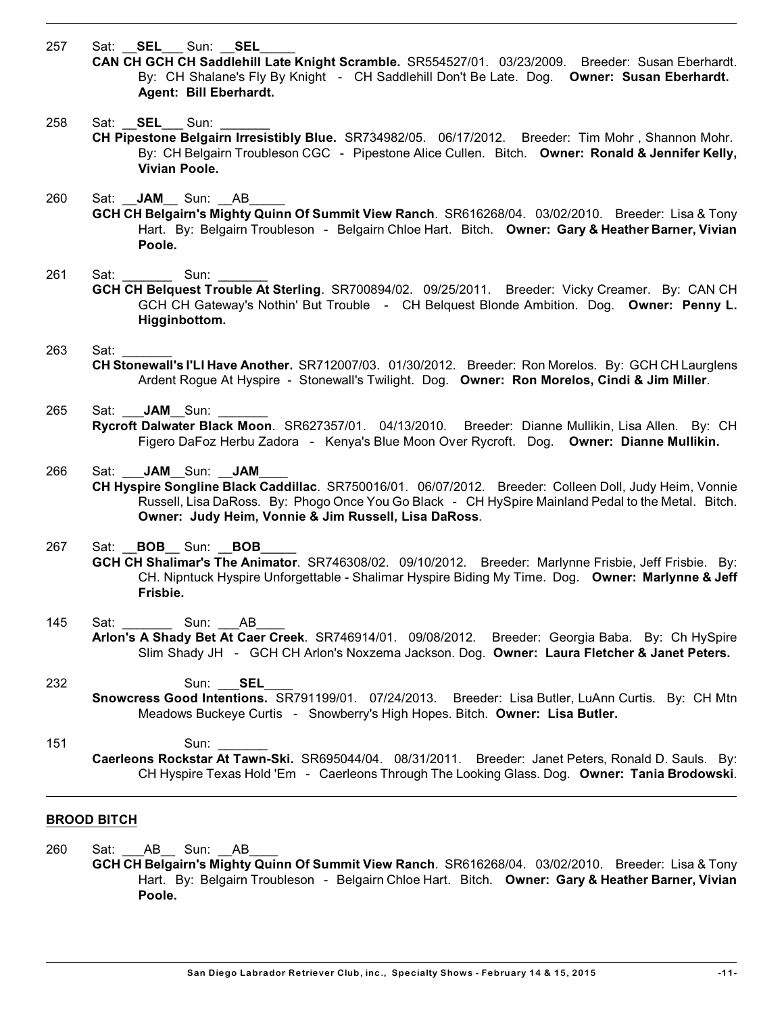257 Sat: **SEL** Sun: **SEL** 

- **CAN CH GCH CH Saddlehill Late Knight Scramble.** SR554527/01. 03/23/2009. Breeder: Susan Eberhardt. By: CH Shalane's Fly By Knight - CH Saddlehill Don't Be Late. Dog. **Owner: Susan Eberhardt. Agent: Bill Eberhardt.**
- 258 Sat: **SEL** Sun:
	- **CH Pipestone Belgairn Irresistibly Blue.** SR734982/05. 06/17/2012. Breeder: Tim Mohr , Shannon Mohr. By: CH Belgairn Troubleson CGC - Pipestone Alice Cullen. Bitch. **Owner: Ronald & Jennifer Kelly, Vivian Poole.**
- 260 Sat: **JAM** Sun: AB
	- **GCH CH Belgairn's Mighty Quinn Of Summit View Ranch**. SR616268/04. 03/02/2010. Breeder: Lisa & Tony Hart. By: Belgairn Troubleson - Belgairn Chloe Hart. Bitch. **Owner: Gary & Heather Barner, Vivian Poole.**
- 261 Sat: Sun:
	- **GCH CH Belquest Trouble At Sterling**. SR700894/02. 09/25/2011. Breeder: Vicky Creamer. By: CAN CH GCH CH Gateway's Nothin' But Trouble - CH Belquest Blonde Ambition. Dog. **Owner: Penny L. Higginbottom.**

### 263 Sat: \_\_\_\_\_\_\_

- **CH Stonewall's I'Ll Have Another.** SR712007/03. 01/30/2012. Breeder: Ron Morelos. By: GCH CH Laurglens Ardent Rogue At Hyspire - Stonewall's Twilight. Dog. **Owner: Ron Morelos, Cindi & Jim Miller**.
- 265 Sat: **JAM** Sun: **Rycroft Dalwater Black Moon**. SR627357/01. 04/13/2010. Breeder: Dianne Mullikin, Lisa Allen. By: CH Figero DaFoz Herbu Zadora - Kenya's Blue Moon Over Rycroft. Dog. **Owner: Dianne Mullikin.**
- 266 Sat: **JAM** Sun: **JAM** 
	- **CH Hyspire Songline Black Caddillac**. SR750016/01. 06/07/2012. Breeder: Colleen Doll, Judy Heim, Vonnie Russell, Lisa DaRoss. By: Phogo Once You Go Black - CH HySpire Mainland Pedal to the Metal. Bitch. **Owner: Judy Heim, Vonnie & Jim Russell, Lisa DaRoss**.
- 267 Sat: \_\_**BOB**\_\_ Sun: \_\_**BOB**\_\_\_\_\_ **GCH CH Shalimar's The Animator**. SR746308/02. 09/10/2012. Breeder: Marlynne Frisbie, Jeff Frisbie. By: CH. Nipntuck Hyspire Unforgettable - Shalimar Hyspire Biding My Time. Dog. **Owner: Marlynne & Jeff Frisbie.**
- 145 Sat: Sun: AB **Arlon's A Shady Bet At Caer Creek**. SR746914/01. 09/08/2012. Breeder: Georgia Baba. By: Ch HySpire Slim Shady JH - GCH CH Arlon's Noxzema Jackson. Dog. **Owner: Laura Fletcher & Janet Peters.**
- 232 **Sun: SEL Snowcress Good Intentions.** SR791199/01. 07/24/2013. Breeder: Lisa Butler, LuAnn Curtis. By: CH Mtn Meadows Buckeye Curtis - Snowberry's High Hopes. Bitch. **Owner: Lisa Butler.**
- 151 Sun: \_\_\_\_\_\_\_ **Caerleons Rockstar At Tawn-Ski.** SR695044/04. 08/31/2011. Breeder: Janet Peters, Ronald D. Sauls. By: CH Hyspire Texas Hold 'Em - Caerleons Through The Looking Glass. Dog. **Owner: Tania Brodowski**.

# **BROOD BITCH**

- 260 Sat: AB Sun: AB
	- **GCH CH Belgairn's Mighty Quinn Of Summit View Ranch**. SR616268/04. 03/02/2010. Breeder: Lisa & Tony Hart. By: Belgairn Troubleson - Belgairn Chloe Hart. Bitch. **Owner: Gary & Heather Barner, Vivian Poole.**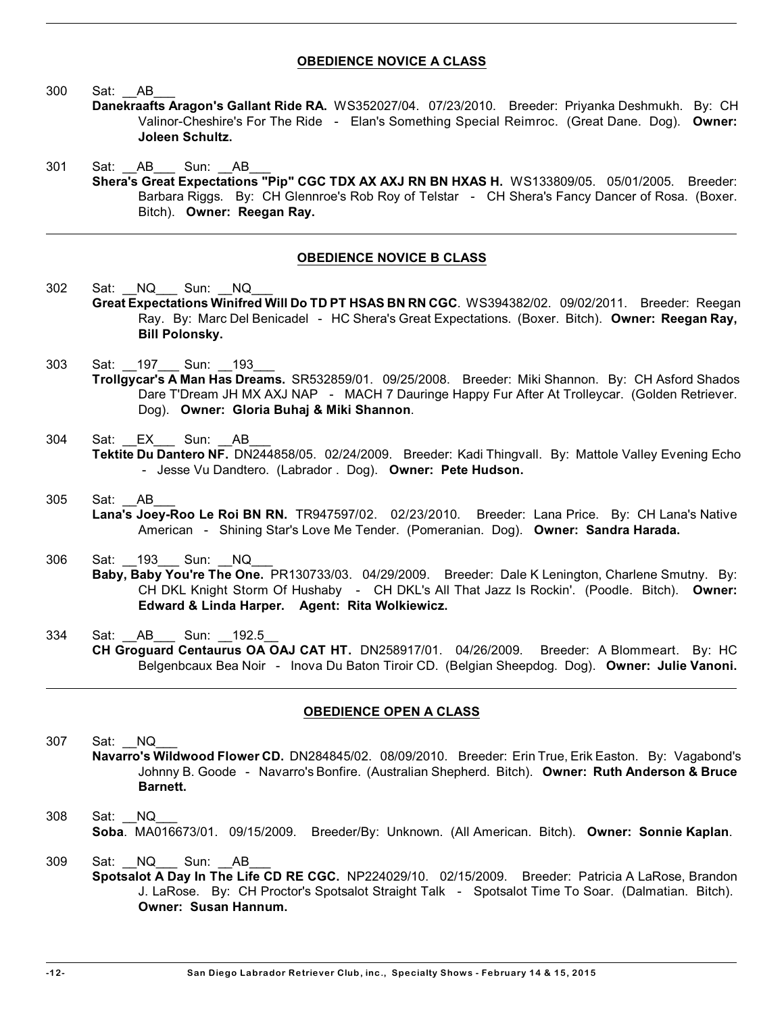### **OBEDIENCE NOVICE A CLASS**

300 Sat: AB

- **D anekraafts Aragon's Gallant Ride RA.** WS352027/04. 07/23/2010. Breeder: Priyanka Deshmukh. By: CH Valinor-Cheshire's For The Ride - Elan's Something Special Reimroc. (Great Dane. Dog). **Owner: Joleen Schultz.**
- 301 Sat: AB Sun: AB **S hera's Great Expectations "Pip" CGC TDX AX AXJ RN BN HXAS H.** WS133809/05. 05/01/2005. Breeder: Barbara Riggs. By: CH Glennroe's Rob Roy of Telstar - CH Shera's Fancy Dancer of Rosa. (Boxer. Bitch). **Owner: Reegan Ray.**

### **OBEDIENCE NOVICE B CLASS**

- 302 Sat: NQ Sun: NQ **G reat Expectations Winifred Will Do TD PT HSAS BN RN CGC**. WS394382/02. 09/02/2011. Breeder: Reegan Ray. By: Marc Del Benicadel - HC Shera's Great Expectations. (Boxer. Bitch). **Owner: Reegan Ray, Bill Polonsky.**
- 303 Sat: 197 Sun: 193 **T rollgycar's A Man Has Dreams.** SR532859/01. 09/25/2008. Breeder: Miki Shannon. By: CH Asford Shados Dare T'Dream JH MX AXJ NAP - MACH 7 Dauringe Happy Fur After At Trolleycar. (Golden Retriever. Dog). **Owner: Gloria Buhaj & Miki Shannon**.
- 304 Sat: \_\_EX\_\_\_ Sun: \_\_AB **T ektite Du Dantero NF.** DN244858/05. 02/24/2009. Breeder: Kadi Thingvall. By: Mattole Valley Evening Echo - Jesse Vu Dandtero. (Labrador . Dog). **Owner: Pete Hudson.**
- 305 Sat: AB **L ana's Joey-Roo Le Roi BN RN.** TR947597/02. 02/23/2010. Breeder: Lana Price. By: CH Lana's Native American - Shining Star's Love Me Tender. (Pomeranian. Dog). **Owner: Sandra Harada.**
- 306 Sat: 193 Sun: NQ **B aby, Baby You're The One.** PR130733/03. 04/29/2009. Breeder: Dale K Lenington, Charlene Smutny. By: CH DKL Knight Storm Of Hushaby - CH DKL's All That Jazz Is Rockin'. (Poodle. Bitch). **Owner: Edward & Linda Harper. Agent: Rita Wolkiewicz.**
- 334 Sat: \_\_AB\_\_\_ Sun: \_\_192.5\_\_ **CH Groguard Centaurus OA OAJ CAT HT.** DN258917/01. 04/26/2009. Breeder: A Blommeart. By: HC Belgenbcaux Bea Noir - Inova Du Baton Tiroir CD. (Belgian Sheepdog. Dog). **Owner: Julie Vanoni.**

# **OBEDIENCE OPEN A CLASS**

- 307 Sat: NQ **N avarro's Wildwood Flower CD.** DN284845/02. 08/09/2010. Breeder: Erin True, Erik Easton. By: Vagabond's Johnny B. Goode - Navarro's Bonfire. (Australian Shepherd. Bitch). **Owner: Ruth Anderson & Bruce Barnett.**
- 308 Sat: \_\_NQ\_\_\_  **So ba**. MA016673/01. 09/15/2009. Breeder/By: Unknown. (All American. Bitch). **Owner: Sonnie Kaplan**.
- 309 Sat: NQ Sun: AB **S potsalot A Day In The Life CD RE CGC.** NP224029/10. 02/15/2009. Breeder: Patricia A LaRose, Brandon J. LaRose. By: CH Proctor's Spotsalot Straight Talk - Spotsalot Time To Soar. (Dalmatian. Bitch). **Owner: Susan Hannum.**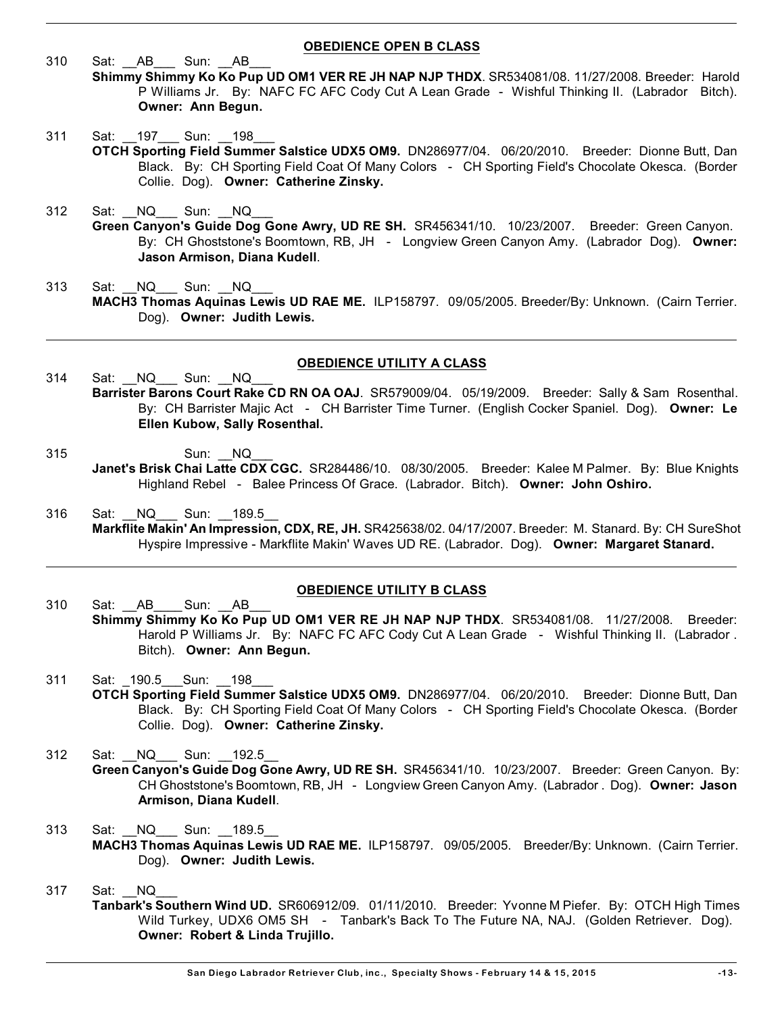**OBEDIENCE OPEN B CLASS** 310 Sat: AB Sun: AB **S himmy Shimmy Ko Ko Pup UD OM1 VER RE JH NAP NJP THDX**. SR534081/08. 11/27/2008. Breeder: Harold P Williams Jr. By: NAFC FC AFC Cody Cut A Lean Grade - Wishful Thinking II. (Labrador Bitch). **Owner: Ann Begun.**

- 311 Sat: 197 Sun: 198 **O TCH Sporting Field Summer Salstice UDX5 OM9.** DN286977/04. 06/20/2010. Breeder: Dionne Butt, Dan Black. By: CH Sporting Field Coat Of Many Colors - CH Sporting Field's Chocolate Okesca. (Border Collie. Dog). **Owner: Catherine Zinsky.**
- 312 Sat: NQ Sun: NQ Green Canyon's Guide Dog Gone Awry, UD RE SH. SR456341/10. 10/23/2007. Breeder: Green Canyon. By: CH Ghoststone's Boomtown, RB, JH - Longview Green Canyon Amy. (Labrador Dog). **Owner: Jason Armison, Diana Kudell**.
- 313 Sat: NQ Sun: NQ **M ACH3 Thomas Aquinas Lewis UD RAE ME.** ILP158797. 09/05/2005. Breeder/By: Unknown. (Cairn Terrier. Dog). **Owner: Judith Lewis.**

# **OBEDIENCE UTILITY A CLASS**

- 314 Sat: NQ Sun: NQ **B arrister Barons Court Rake CD RN OA OAJ**. SR579009/04. 05/19/2009. Breeder: Sally & Sam Rosenthal. By: CH Barrister Majic Act - CH Barrister Time Turner. (English Cocker Spaniel. Dog). **Owner: Le Ellen Kubow, Sally Rosenthal.**
- 315 Sun: NQ
	- **J anet's Brisk Chai Latte CDX CGC.** SR284486/10. 08/30/2005. Breeder: Kalee M Palmer. By: Blue Knights Highland Rebel - Balee Princess Of Grace. (Labrador. Bitch). **Owner: John Oshiro.**
- 316 Sat: \_\_NQ\_\_\_ Sun: \_\_189.5\_\_ **M arkflite Makin' An Impression, CDX, RE, JH.** SR425638/02. 04/17/2007. Breeder: M. Stanard. By: CH SureShot Hyspire Impressive - Markflite Makin' Waves UD RE. (Labrador. Dog). **Owner: Margaret Stanard.**

# **OBEDIENCE UTILITY B CLASS**

310 Sat: AB Sun: AB **S himmy Shimmy Ko Ko Pup UD OM1 VER RE JH NAP NJP THDX**. SR534081/08. 11/27/2008. Breeder: Harold P Williams Jr. By: NAFC FC AFC Cody Cut A Lean Grade - Wishful Thinking II. (Labrador . Bitch). **Owner: Ann Begun.**

311 Sat: 190.5 Sun: 198

- **O TCH Sporting Field Summer Salstice UDX5 OM9.** DN286977/04. 06/20/2010. Breeder: Dionne Butt, Dan Black. By: CH Sporting Field Coat Of Many Colors - CH Sporting Field's Chocolate Okesca. (Border Collie. Dog). **Owner: Catherine Zinsky.**
- 312 Sat: NQ Sun: 192.5
	- **G reen Canyon's Guide Dog Gone Awry, UD RE SH.** SR456341/10. 10/23/2007. Breeder: Green Canyon. By: CH Ghoststone's Boomtown, RB, JH - Longview Green Canyon Amy. (Labrador . Dog). **Owner: Jason Armison, Diana Kudell**.
- 313 Sat: \_\_NQ\_\_\_ Sun: \_\_189.5\_\_
	- **M ACH3 Thomas Aquinas Lewis UD RAE ME.** ILP158797. 09/05/2005. Breeder/By: Unknown. (Cairn Terrier. Dog). **Owner: Judith Lewis.**
- 317 Sat: NQ **T anbark's Southern Wind UD.** SR606912/09. 01/11/2010. Breeder: Yvonne M Piefer. By: OTCH High Times Wild Turkey, UDX6 OM5 SH - Tanbark's Back To The Future NA, NAJ. (Golden Retriever. Dog). **Owner: Robert & Linda Trujillo.**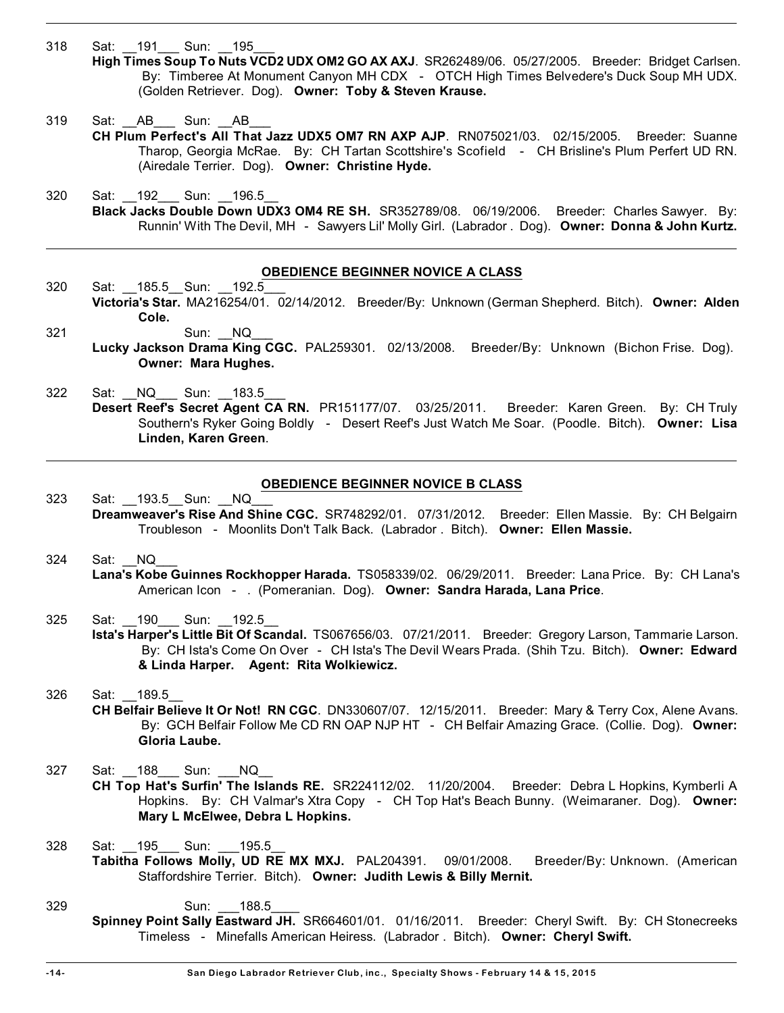318 Sat: 191 Sun: 195

- High Times Soup To Nuts VCD2 UDX OM2 GO AX AXJ. SR262489/06. 05/27/2005. Breeder: Bridget Carlsen. By: Timberee At Monument Canyon MH CDX - OTCH High Times Belvedere's Duck Soup MH UDX. (Golden Retriever. Dog). **Owner: Toby & Steven Krause.**
- 319 Sat: AB Sun: AB **CH Plum Perfect's All That Jazz UDX5 OM7 RN AXP AJP**. RN075021/03. 02/15/2005. Breeder: Suanne Tharop, Georgia McRae. By: CH Tartan Scottshire's Scofield - CH Brisline's Plum Perfert UD RN. (Airedale Terrier. Dog). **Owner: Christine Hyde.**
- 320 Sat: \_\_192\_\_\_ Sun: \_\_196.5\_\_ **B lack Jacks Double Down UDX3 OM4 RE SH.** SR352789/08. 06/19/2006. Breeder: Charles Sawyer. By: Runnin' With The Devil, MH - Sawyers Lil' Molly Girl. (Labrador . Dog). **Owner: Donna & John Kurtz.**

### **OBEDIENCE BEGINNER NOVICE A CLASS**

320 Sat: 185.5 Sun: 192.5 **V ictoria's Star.** MA216254/01. 02/14/2012. Breeder/By: Unknown (German Shepherd. Bitch). **Owner: Alden Cole.**

321 Sun: NQ

- **L ucky Jackson Drama King CGC.** PAL259301. 02/13/2008. Breeder/By: Unknown (Bichon Frise. Dog). **Owner: Mara Hughes.**
- 322 Sat: NQ Sun: 183.5 **Desert Reef's Secret Agent CA RN.** PR151177/07. 03/25/2011. Breeder: Karen Green. By: CH Truly Southern's Ryker Going Boldly - Desert Reef's Just Watch Me Soar. (Poodle. Bitch). **Owner: Lisa Linden, Karen Green**.

#### **OBEDIENCE BEGINNER NOVICE B CLASS**

- 323 Sat: 193.5 Sun: NQ **D reamweaver's Rise And Shine CGC.** SR748292/01. 07/31/2012. Breeder: Ellen Massie. By: CH Belgairn Troubleson - Moonlits Don't Talk Back. (Labrador . Bitch). **Owner: Ellen Massie.**
- 324 Sat: NQ
	- **L ana's Kobe Guinnes Rockhopper Harada.** TS058339/02. 06/29/2011. Breeder: Lana Price. By: CH Lana's American Icon - . (Pomeranian. Dog). **Owner: Sandra Harada, Lana Price**.
- 325 Sat: 190 Sun: 192.5
	- **Is ta's Harper's Little Bit Of Scandal.** TS067656/03. 07/21/2011. Breeder: Gregory Larson, Tammarie Larson. By: CH Ista's Come On Over - CH Ista's The Devil Wears Prada. (Shih Tzu. Bitch). **Owner: Edward & Linda Harper. Agent: Rita Wolkiewicz.**
- 326 Sat: 189.5 **CH Belfair Believe It Or Not! RN CGC**. DN330607/07. 12/15/2011. Breeder: Mary & Terry Cox, Alene Avans. By: GCH Belfair Follow Me CD RN OAP NJP HT - CH Belfair Amazing Grace. (Collie. Dog). **Owner: Gloria Laube.**
- 327 Sat: 188 Sun: NQ
	- **CH Top Hat's Surfin' The Islands RE.** SR224112/02. 11/20/2004. Breeder: Debra L Hopkins, Kymberli A Hopkins. By: CH Valmar's Xtra Copy - CH Top Hat's Beach Bunny. (Weimaraner. Dog). **Owner: Mary L McElwee, Debra L Hopkins.**
- 328 Sat: 195 Sun: 195.5 **T abitha Follows Molly, UD RE MX MXJ.** PAL204391. 09/01/2008. Breeder/By: Unknown. (American Staffordshire Terrier. Bitch). **Owner: Judith Lewis & Billy Mernit.**
- 329 Sun: 188.5
	- **Spinney Point Sally Eastward JH.** SR664601/01. 01/16/2011. Breeder: Cheryl Swift. By: CH Stonecreeks Timeless - Minefalls American Heiress. (Labrador . Bitch). **Owner: Cheryl Swift.**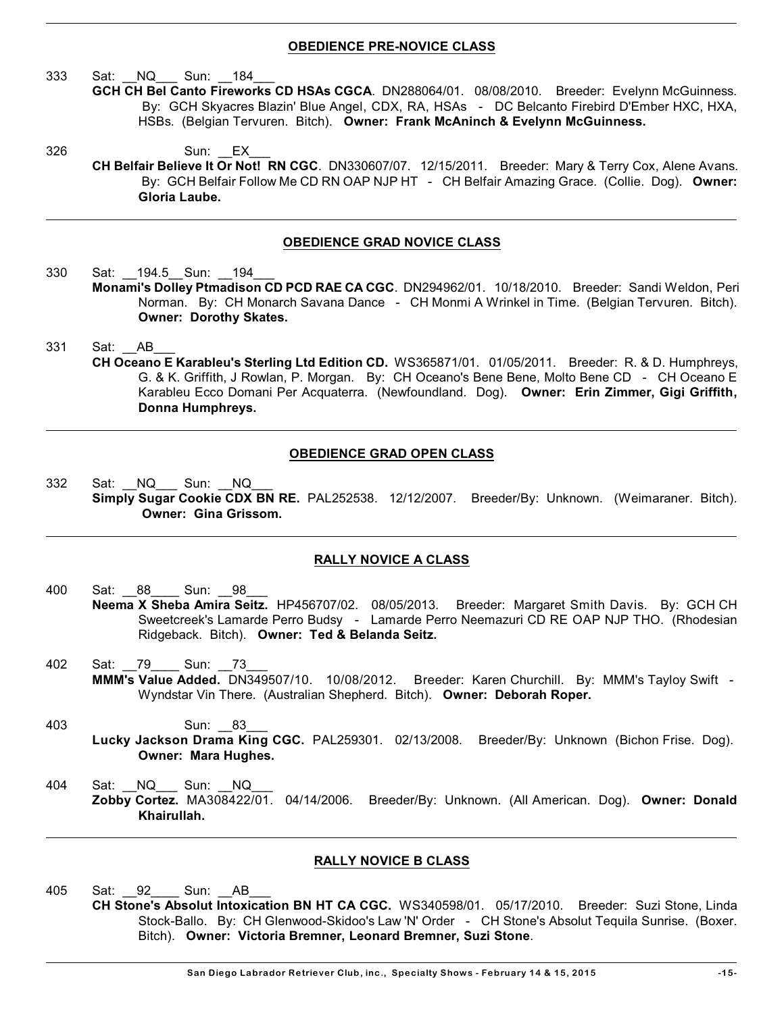### **OBEDIENCE PRE-NOVICE CLASS**

333 Sat: NQ Sun: 184

**G CH CH Bel Canto Fireworks CD HSAs CGCA**. DN288064/01. 08/08/2010. Breeder: Evelynn McGuinness. By: GCH Skyacres Blazin' Blue Angel, CDX, RA, HSAs - DC Belcanto Firebird D'Ember HXC, HXA, HSBs. (Belgian Tervuren. Bitch). **Owner: Frank McAninch & Evelynn McGuinness.**

326 Sun: EX **C H Belfair Believe It Or Not! RN CGC**. DN330607/07. 12/15/2011. Breeder: Mary & Terry Cox, Alene Avans. By: GCH Belfair Follow Me CD RN OAP NJP HT - CH Belfair Amazing Grace. (Collie. Dog). **Owner: Gloria Laube.**

### **OBEDIENCE GRAD NOVICE CLASS**

- 330 Sat: 194.5 Sun: 194 **M onami's Dolley Ptmadison CD PCD RAE CA CGC**. DN294962/01. 10/18/2010. Breeder: Sandi Weldon, Peri Norman. By: CH Monarch Savana Dance - CH Monmi A Wrinkel in Time. (Belgian Tervuren. Bitch). **Owner: Dorothy Skates.**
- 331 Sat: AB **CH Oceano E Karableu's Sterling Ltd Edition CD.** WS365871/01. 01/05/2011. Breeder: R. & D. Humphreys, G. & K. Griffith, J Rowlan, P. Morgan. By: CH Oceano's Bene Bene, Molto Bene CD - CH Oceano E Karableu Ecco Domani Per Acquaterra. (Newfoundland. Dog). **Owner: Erin Zimmer, Gigi Griffith, Donna Humphreys.**

### **OBEDIENCE GRAD OPEN CLASS**

332 Sat: NQ Sun: NQ **S imply Sugar Cookie CDX BN RE.** PAL252538. 12/12/2007. Breeder/By: Unknown. (Weimaraner. Bitch). **Owner: Gina Grissom.**

# **RALLY NOVICE A CLASS**

- 400 Sat: 88 Sun: 98 Neema X Sheba Amira Seitz. HP456707/02. 08/05/2013. Breeder: Margaret Smith Davis. By: GCH CH Sweetcreek's Lamarde Perro Budsy - Lamarde Perro Neemazuri CD RE OAP NJP THO. (Rhodesian Ridgeback. Bitch). **Owner: Ted & Belanda Seitz.**
- 402 Sat: 79 Sun: 73 **M MM's Value Added.** DN349507/10. 10/08/2012. Breeder: Karen Churchill. By: MMM's Tayloy Swift - Wyndstar Vin There. (Australian Shepherd. Bitch). **Owner: Deborah Roper.**
- 403 Sun: 83 **L ucky Jackson Drama King CGC.** PAL259301. 02/13/2008. Breeder/By: Unknown (Bichon Frise. Dog). **Owner: Mara Hughes.**
- 404 Sat: NQ Sun: NQ **Z obby Cortez.** MA308422/01. 04/14/2006. Breeder/By: Unknown. (All American. Dog). **Owner: Donald Khairullah.**

# **RALLY NOVICE B CLASS**

405 Sat: 92 Sun: AB **CH Stone's Absolut Intoxication BN HT CA CGC.** WS340598/01. 05/17/2010. Breeder: Suzi Stone, Linda Stock-Ballo. By: CH Glenwood-Skidoo's Law 'N' Order - CH Stone's Absolut Tequila Sunrise. (Boxer. Bitch). **Owner: Victoria Bremner, Leonard Bremner, Suzi Stone**.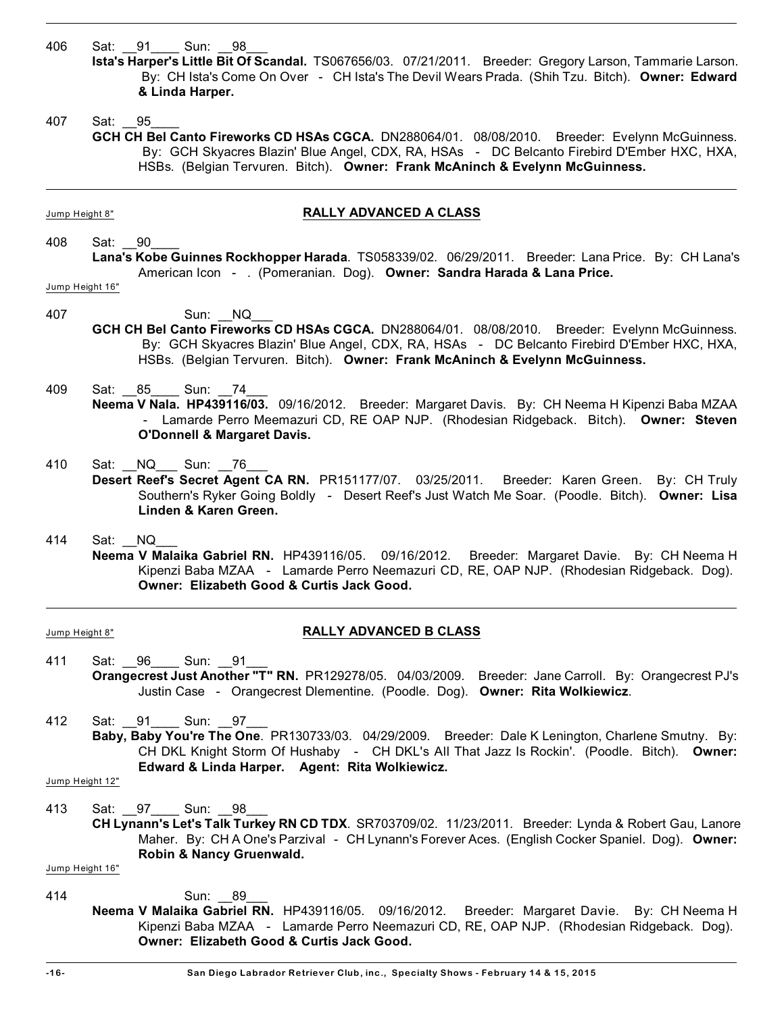406 Sat: 91 Sun: 98

- **Is ta's Harper's Little Bit Of Scandal.** TS067656/03. 07/21/2011. Breeder: Gregory Larson, Tammarie Larson. By: CH Ista's Come On Over - CH Ista's The Devil Wears Prada. (Shih Tzu. Bitch). **Owner: Edward & Linda Harper.**
- 407 Sat: 95
	- **G CH CH Bel Canto Fireworks CD HSAs CGCA.** DN288064/01. 08/08/2010. Breeder: Evelynn McGuinness. By: GCH Skyacres Blazin' Blue Angel, CDX, RA, HSAs - DC Belcanto Firebird D'Ember HXC, HXA, HSBs. (Belgian Tervuren. Bitch). **Owner: Frank McAninch & Evelynn McGuinness.**

# Jump Height 8" **RALLY ADVANCED A CLASS**

408 Sat: 90 **L ana's Kobe Guinnes Rockhopper Harada**. TS058339/02. 06/29/2011. Breeder: Lana Price. By: CH Lana's American Icon - . (Pomeranian. Dog). **Owner: Sandra Harada & Lana Price.**

Jump Height 16"

- 407 Sun: NQ
	- **G CH CH Bel Canto Fireworks CD HSAs CGCA.** DN288064/01. 08/08/2010. Breeder: Evelynn McGuinness. By: GCH Skyacres Blazin' Blue Angel, CDX, RA, HSAs - DC Belcanto Firebird D'Ember HXC, HXA, HSBs. (Belgian Tervuren. Bitch). **Owner: Frank McAninch & Evelynn McGuinness.**
- 409 Sat: 85 Sun: 74 **N eema V Nala. HP439116/03.** 09/16/2012. Breeder: Margaret Davis. By: CH Neema H Kipenzi Baba MZAA - Lamarde Perro Meemazuri CD, RE OAP NJP. (Rhodesian Ridgeback. Bitch). **Owner: Steven O'Donnell & Margaret Davis.**
- 410 Sat: NQ Sun: 76
	- Desert Reef's Secret Agent CA RN. PR151177/07. 03/25/2011. Breeder: Karen Green. By: CH Truly Southern's Ryker Going Boldly - Desert Reef's Just Watch Me Soar. (Poodle. Bitch). **Owner: Lisa Linden & Karen Green.**
- 414 Sat: NQ **N eema V Malaika Gabriel RN.** HP439116/05. 09/16/2012. Breeder: Margaret Davie. By: CH Neema H Kipenzi Baba MZAA - Lamarde Perro Neemazuri CD, RE, OAP NJP. (Rhodesian Ridgeback. Dog). **Owner: Elizabeth Good & Curtis Jack Good.**

#### Jump Height 8" **RALLY ADVANCED B CLASS**

- 411 Sat: 96 Sun: 91 **Orangecrest Just Another "T" RN.** PR129278/05. 04/03/2009. Breeder: Jane Carroll. By: Orangecrest PJ's Justin Case - Orangecrest Dlementine. (Poodle. Dog). **Owner: Rita Wolkiewicz**.
- 412 Sat: 91 Sun: 97 **B aby, Baby You're The One**. PR130733/03. 04/29/2009. Breeder: Dale K Lenington, Charlene Smutny. By: CH DKL Knight Storm Of Hushaby - CH DKL's All That Jazz Is Rockin'. (Poodle. Bitch). **Owner: Edward & Linda Harper. Agent: Rita Wolkiewicz.**

Jump Height 12"

413 Sat: 97 Sun: 98

**C H Lynann's Let's Talk Turkey RN CD TDX**. SR703709/02. 11/23/2011. Breeder: Lynda & Robert Gau, Lanore Maher. By: CH A One's Parzival - CH Lynann's Forever Aces. (English Cocker Spaniel. Dog). **Owner: Robin & Nancy Gruenwald.**

Jump Height 16"

- 414 Sun: 89
	- **N eema V Malaika Gabriel RN.** HP439116/05. 09/16/2012. Breeder: Margaret Davie. By: CH Neema H Kipenzi Baba MZAA - Lamarde Perro Neemazuri CD, RE, OAP NJP. (Rhodesian Ridgeback. Dog). **Owner: Elizabeth Good & Curtis Jack Good.**